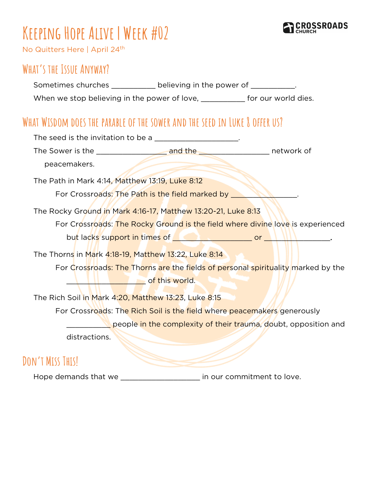

# **Keeping Hope Alive | Week #02**

No Quitters Here | April 24th

# **What's the Issue Anyway?**

Sometimes churches \_\_\_\_\_\_\_\_\_\_ believing in the power of \_\_\_\_\_\_\_\_\_\_. When we stop believing in the power of love, \_\_\_\_\_\_\_\_\_\_ for our world dies.

# **What Wisdom does the parable of the sower and the seed in Luke 8 offer us?**

| The seed is the invitation to be a ____________________.                                                                                                                                                                             |  |  |
|--------------------------------------------------------------------------------------------------------------------------------------------------------------------------------------------------------------------------------------|--|--|
|                                                                                                                                                                                                                                      |  |  |
| peacemakers.                                                                                                                                                                                                                         |  |  |
| The Path in Mark 4:14, Matthew 13:19, Luke 8:12                                                                                                                                                                                      |  |  |
| For Crossroads: The Path is the field marked by _                                                                                                                                                                                    |  |  |
| The Rocky Ground in Mark 4:16-17, Matthew 13:20-21, Luke 8:13                                                                                                                                                                        |  |  |
| For Crossroads: The Rocky Ground is the field where divine love is experienced                                                                                                                                                       |  |  |
| but lacks support in times of <b>with a set of the set of the set of the set of the set of the set of the set of the set of the set of the set of the set of the set of the set of the set of the set of the set of the set of t</b> |  |  |
| The Thorns in Mark 4:18-19, Matthew 13:22, Luke 8:14                                                                                                                                                                                 |  |  |
| For Crossroads: The Thorns are the fields of personal spirituality marked by the                                                                                                                                                     |  |  |
| <b>Example 1</b> of this world.                                                                                                                                                                                                      |  |  |
| The Rich Soil in Mark 4:20, Matthew 13:23, Luke 8:15                                                                                                                                                                                 |  |  |
| For Crossroads: The Rich Soil is the field where peacemakers generously                                                                                                                                                              |  |  |
| people in the complexity of their trauma, doubt, opposition and                                                                                                                                                                      |  |  |
| distractions.                                                                                                                                                                                                                        |  |  |
| Turch Marco Turch ואר                                                                                                                                                                                                                |  |  |

## **Don't Miss This!**

Hope demands that we \_\_\_\_\_\_\_\_\_\_\_\_\_\_\_\_\_\_\_\_\_ in our commitment to love.